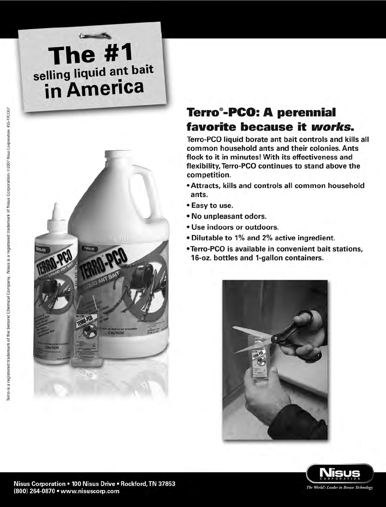# **The #1**<br>selling liquid ant bait in America



### **Terro®-PCO: A perennial** favorite because it works.

Terro-PCO liquid borate ant bait controls and kills all common household ants and their colonies. Ants flock to it in minutes! With its effectiveness and flexibility, Terro-PCO continues to stand above the competition.

- Attracts, kills and controls all common household ants.
- Easy to use.
- . No unpleasant odors.
- · Use indoors or outdoors.
- . Dilutable to 1% and 2% active ingredient.
- •Terro-PCO is available in convenient bait stations, 16-oz. bottles and 1-gallon containers.